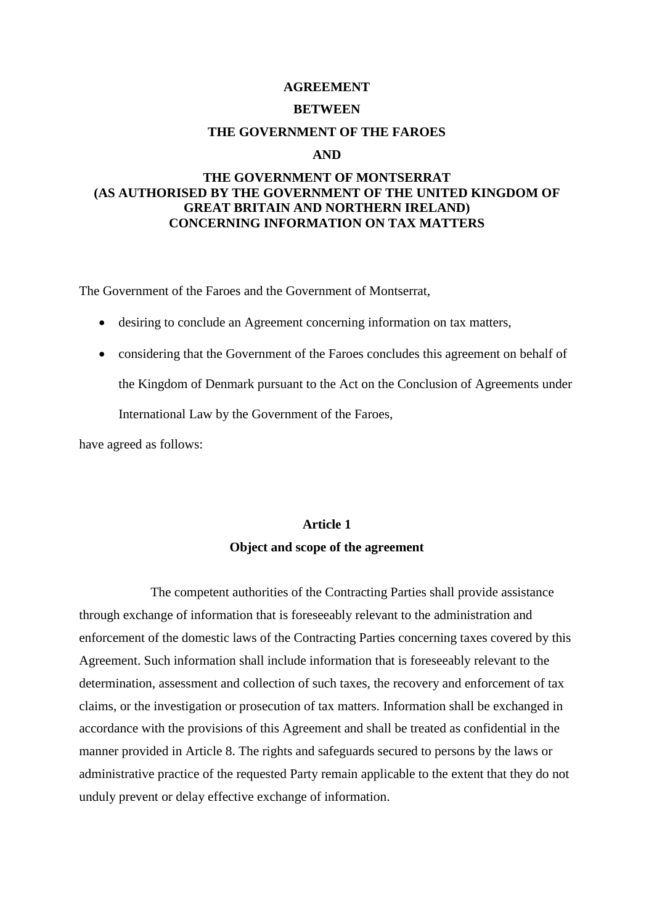#### **AGREEMENT**

#### **BETWEEN**

#### **THE GOVERNMENT OF THE FAROES**

### **AND**

### **THE GOVERNMENT OF MONTSERRAT (AS AUTHORISED BY THE GOVERNMENT OF THE UNITED KINGDOM OF GREAT BRITAIN AND NORTHERN IRELAND) CONCERNING INFORMATION ON TAX MATTERS**

The Government of the Faroes and the Government of Montserrat,

- desiring to conclude an Agreement concerning information on tax matters,
- considering that the Government of the Faroes concludes this agreement on behalf of the Kingdom of Denmark pursuant to the Act on the Conclusion of Agreements under International Law by the Government of the Faroes,

have agreed as follows:

## **Article 1 Object and scope of the agreement**

The competent authorities of the Contracting Parties shall provide assistance through exchange of information that is foreseeably relevant to the administration and enforcement of the domestic laws of the Contracting Parties concerning taxes covered by this Agreement. Such information shall include information that is foreseeably relevant to the determination, assessment and collection of such taxes, the recovery and enforcement of tax claims, or the investigation or prosecution of tax matters. Information shall be exchanged in accordance with the provisions of this Agreement and shall be treated as confidential in the manner provided in Article 8. The rights and safeguards secured to persons by the laws or administrative practice of the requested Party remain applicable to the extent that they do not unduly prevent or delay effective exchange of information.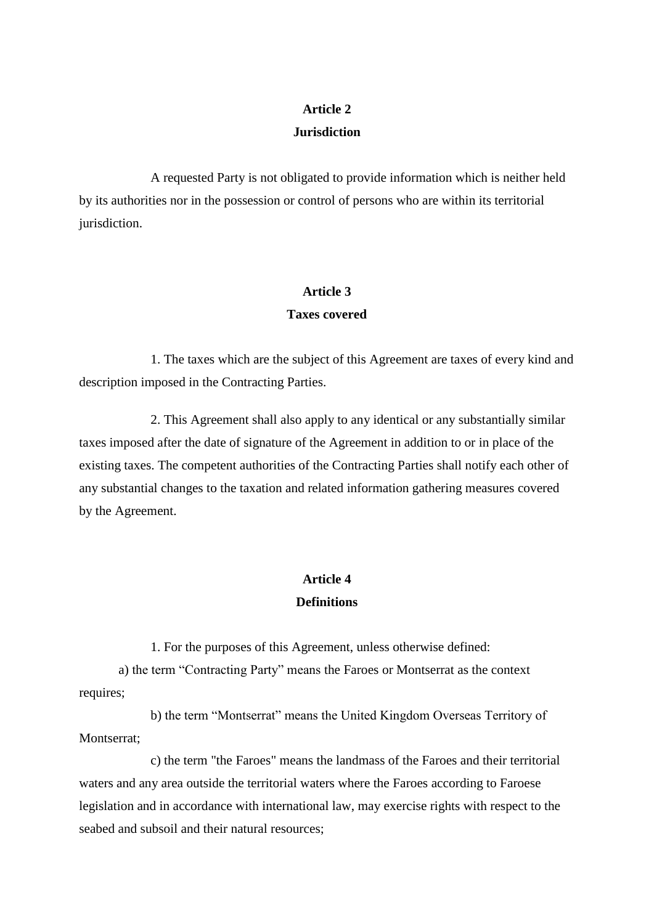#### **Article 2**

### **Jurisdiction**

A requested Party is not obligated to provide information which is neither held by its authorities nor in the possession or control of persons who are within its territorial jurisdiction.

### **Article 3**

#### **Taxes covered**

1. The taxes which are the subject of this Agreement are taxes of every kind and description imposed in the Contracting Parties.

2. This Agreement shall also apply to any identical or any substantially similar taxes imposed after the date of signature of the Agreement in addition to or in place of the existing taxes. The competent authorities of the Contracting Parties shall notify each other of any substantial changes to the taxation and related information gathering measures covered by the Agreement.

## **Article 4 Definitions**

1. For the purposes of this Agreement, unless otherwise defined:

a) the term "Contracting Party" means the Faroes or Montserrat as the context requires;

b) the term "Montserrat" means the United Kingdom Overseas Territory of Montserrat;

c) the term "the Faroes" means the landmass of the Faroes and their territorial waters and any area outside the territorial waters where the Faroes according to Faroese legislation and in accordance with international law, may exercise rights with respect to the seabed and subsoil and their natural resources;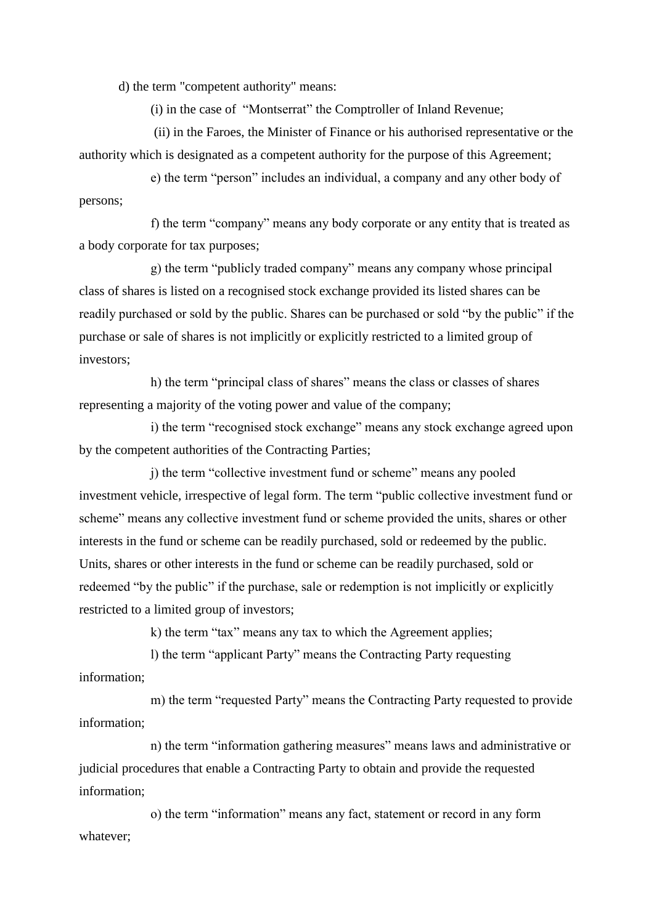d) the term "competent authority" means:

(i) in the case of "Montserrat" the Comptroller of Inland Revenue;

(ii) in the Faroes, the Minister of Finance or his authorised representative or the authority which is designated as a competent authority for the purpose of this Agreement;

e) the term "person" includes an individual, a company and any other body of persons;

f) the term "company" means any body corporate or any entity that is treated as a body corporate for tax purposes;

g) the term "publicly traded company" means any company whose principal class of shares is listed on a recognised stock exchange provided its listed shares can be readily purchased or sold by the public. Shares can be purchased or sold "by the public" if the purchase or sale of shares is not implicitly or explicitly restricted to a limited group of investors;

h) the term "principal class of shares" means the class or classes of shares representing a majority of the voting power and value of the company;

i) the term "recognised stock exchange" means any stock exchange agreed upon by the competent authorities of the Contracting Parties;

j) the term "collective investment fund or scheme" means any pooled investment vehicle, irrespective of legal form. The term "public collective investment fund or scheme" means any collective investment fund or scheme provided the units, shares or other interests in the fund or scheme can be readily purchased, sold or redeemed by the public. Units, shares or other interests in the fund or scheme can be readily purchased, sold or redeemed "by the public" if the purchase, sale or redemption is not implicitly or explicitly restricted to a limited group of investors;

k) the term "tax" means any tax to which the Agreement applies;

l) the term "applicant Party" means the Contracting Party requesting information;

m) the term "requested Party" means the Contracting Party requested to provide information;

n) the term "information gathering measures" means laws and administrative or judicial procedures that enable a Contracting Party to obtain and provide the requested information;

o) the term "information" means any fact, statement or record in any form whatever;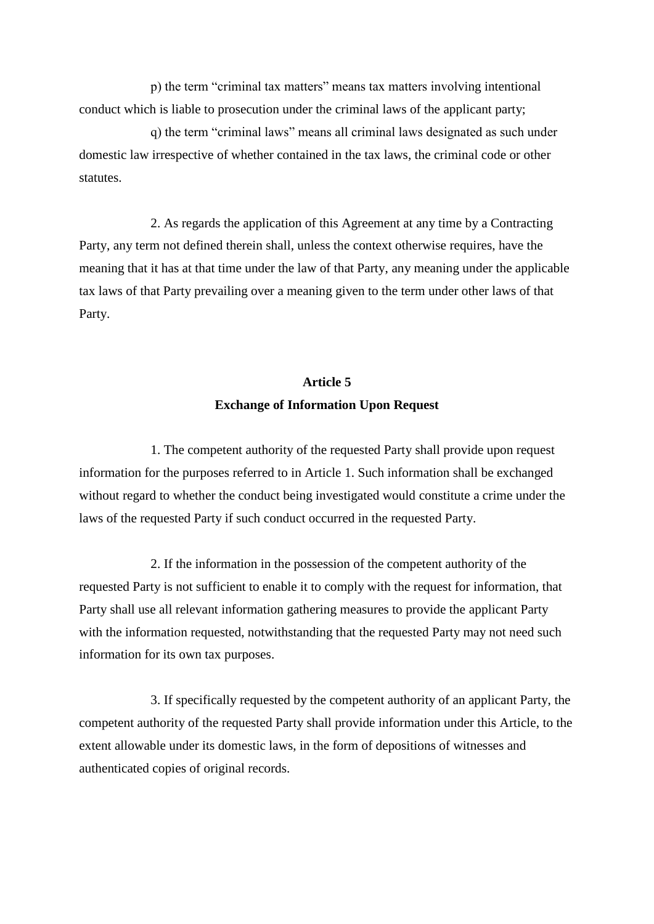p) the term "criminal tax matters" means tax matters involving intentional conduct which is liable to prosecution under the criminal laws of the applicant party;

q) the term "criminal laws" means all criminal laws designated as such under domestic law irrespective of whether contained in the tax laws, the criminal code or other statutes.

2. As regards the application of this Agreement at any time by a Contracting Party, any term not defined therein shall, unless the context otherwise requires, have the meaning that it has at that time under the law of that Party, any meaning under the applicable tax laws of that Party prevailing over a meaning given to the term under other laws of that Party.

# **Article 5 Exchange of Information Upon Request**

1. The competent authority of the requested Party shall provide upon request information for the purposes referred to in Article 1. Such information shall be exchanged without regard to whether the conduct being investigated would constitute a crime under the laws of the requested Party if such conduct occurred in the requested Party.

2. If the information in the possession of the competent authority of the requested Party is not sufficient to enable it to comply with the request for information, that Party shall use all relevant information gathering measures to provide the applicant Party with the information requested, notwithstanding that the requested Party may not need such information for its own tax purposes.

3. If specifically requested by the competent authority of an applicant Party, the competent authority of the requested Party shall provide information under this Article, to the extent allowable under its domestic laws, in the form of depositions of witnesses and authenticated copies of original records.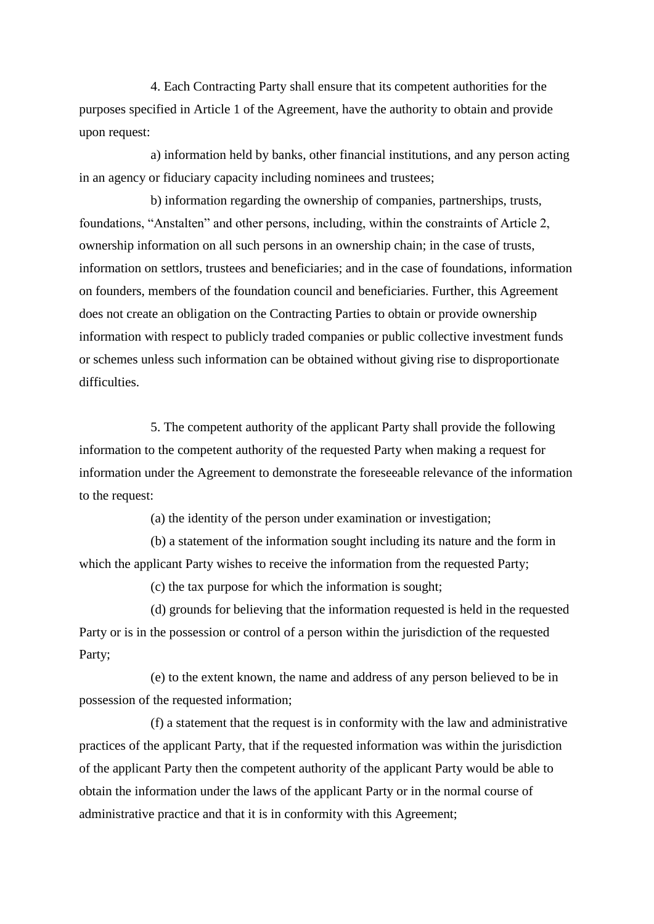4. Each Contracting Party shall ensure that its competent authorities for the purposes specified in Article 1 of the Agreement, have the authority to obtain and provide upon request:

a) information held by banks, other financial institutions, and any person acting in an agency or fiduciary capacity including nominees and trustees;

b) information regarding the ownership of companies, partnerships, trusts, foundations, "Anstalten" and other persons, including, within the constraints of Article 2, ownership information on all such persons in an ownership chain; in the case of trusts, information on settlors, trustees and beneficiaries; and in the case of foundations, information on founders, members of the foundation council and beneficiaries. Further, this Agreement does not create an obligation on the Contracting Parties to obtain or provide ownership information with respect to publicly traded companies or public collective investment funds or schemes unless such information can be obtained without giving rise to disproportionate difficulties.

5. The competent authority of the applicant Party shall provide the following information to the competent authority of the requested Party when making a request for information under the Agreement to demonstrate the foreseeable relevance of the information to the request:

(a) the identity of the person under examination or investigation;

(b) a statement of the information sought including its nature and the form in which the applicant Party wishes to receive the information from the requested Party;

(c) the tax purpose for which the information is sought;

(d) grounds for believing that the information requested is held in the requested Party or is in the possession or control of a person within the jurisdiction of the requested Party;

(e) to the extent known, the name and address of any person believed to be in possession of the requested information;

(f) a statement that the request is in conformity with the law and administrative practices of the applicant Party, that if the requested information was within the jurisdiction of the applicant Party then the competent authority of the applicant Party would be able to obtain the information under the laws of the applicant Party or in the normal course of administrative practice and that it is in conformity with this Agreement;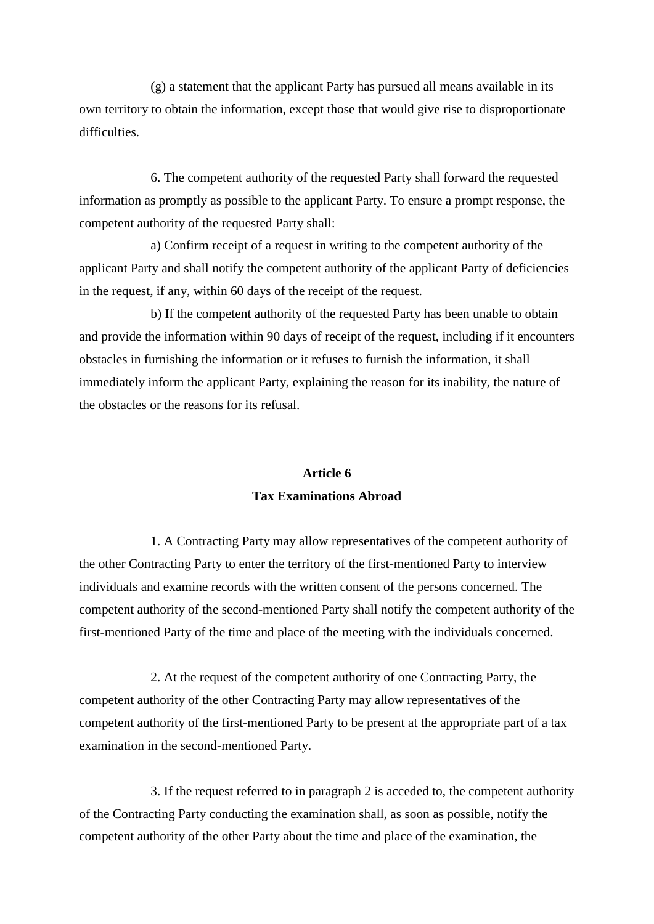(g) a statement that the applicant Party has pursued all means available in its own territory to obtain the information, except those that would give rise to disproportionate difficulties.

6. The competent authority of the requested Party shall forward the requested information as promptly as possible to the applicant Party. To ensure a prompt response, the competent authority of the requested Party shall:

a) Confirm receipt of a request in writing to the competent authority of the applicant Party and shall notify the competent authority of the applicant Party of deficiencies in the request, if any, within 60 days of the receipt of the request.

b) If the competent authority of the requested Party has been unable to obtain and provide the information within 90 days of receipt of the request, including if it encounters obstacles in furnishing the information or it refuses to furnish the information, it shall immediately inform the applicant Party, explaining the reason for its inability, the nature of the obstacles or the reasons for its refusal.

## **Article 6 Tax Examinations Abroad**

1. A Contracting Party may allow representatives of the competent authority of the other Contracting Party to enter the territory of the first-mentioned Party to interview individuals and examine records with the written consent of the persons concerned. The competent authority of the second-mentioned Party shall notify the competent authority of the first-mentioned Party of the time and place of the meeting with the individuals concerned.

2. At the request of the competent authority of one Contracting Party, the competent authority of the other Contracting Party may allow representatives of the competent authority of the first-mentioned Party to be present at the appropriate part of a tax examination in the second-mentioned Party.

3. If the request referred to in paragraph 2 is acceded to, the competent authority of the Contracting Party conducting the examination shall, as soon as possible, notify the competent authority of the other Party about the time and place of the examination, the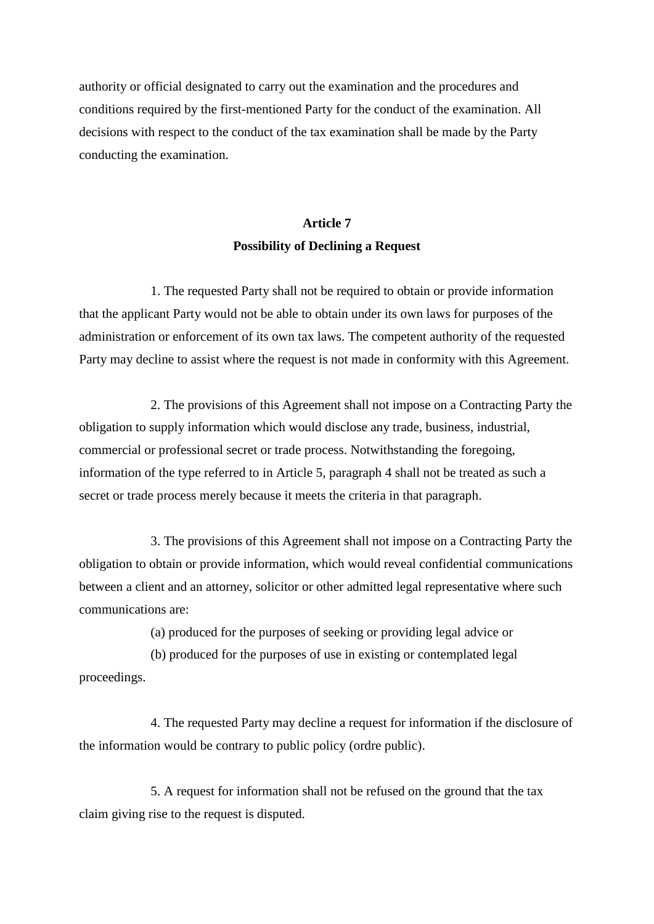authority or official designated to carry out the examination and the procedures and conditions required by the first-mentioned Party for the conduct of the examination. All decisions with respect to the conduct of the tax examination shall be made by the Party conducting the examination.

# **Article 7 Possibility of Declining a Request**

1. The requested Party shall not be required to obtain or provide information that the applicant Party would not be able to obtain under its own laws for purposes of the administration or enforcement of its own tax laws. The competent authority of the requested Party may decline to assist where the request is not made in conformity with this Agreement.

2. The provisions of this Agreement shall not impose on a Contracting Party the obligation to supply information which would disclose any trade, business, industrial, commercial or professional secret or trade process. Notwithstanding the foregoing, information of the type referred to in Article 5, paragraph 4 shall not be treated as such a secret or trade process merely because it meets the criteria in that paragraph.

3. The provisions of this Agreement shall not impose on a Contracting Party the obligation to obtain or provide information, which would reveal confidential communications between a client and an attorney, solicitor or other admitted legal representative where such communications are:

(a) produced for the purposes of seeking or providing legal advice or

(b) produced for the purposes of use in existing or contemplated legal proceedings.

4. The requested Party may decline a request for information if the disclosure of the information would be contrary to public policy (ordre public).

5. A request for information shall not be refused on the ground that the tax claim giving rise to the request is disputed.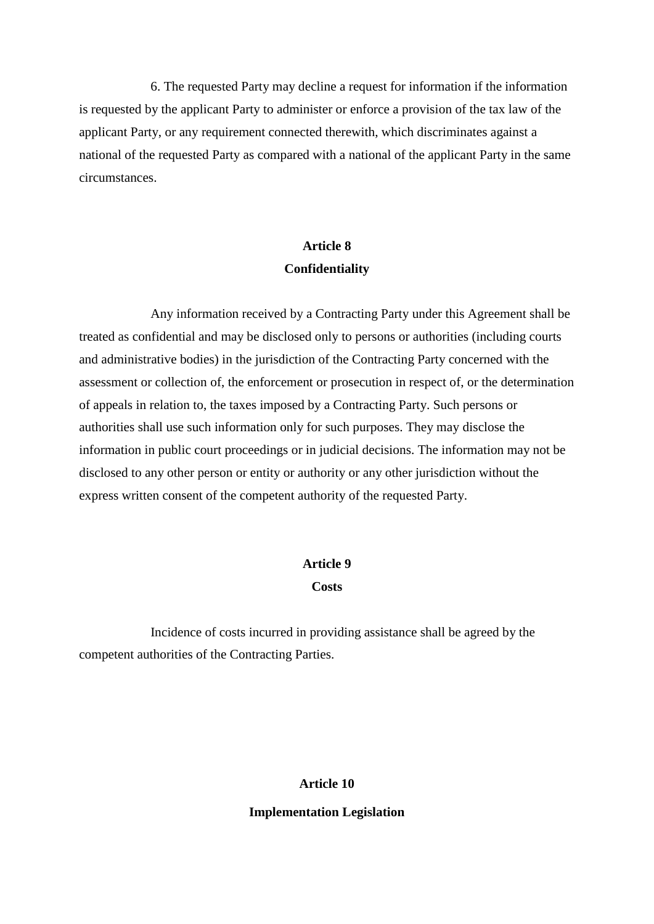6. The requested Party may decline a request for information if the information is requested by the applicant Party to administer or enforce a provision of the tax law of the applicant Party, or any requirement connected therewith, which discriminates against a national of the requested Party as compared with a national of the applicant Party in the same circumstances.

# **Article 8 Confidentiality**

Any information received by a Contracting Party under this Agreement shall be treated as confidential and may be disclosed only to persons or authorities (including courts and administrative bodies) in the jurisdiction of the Contracting Party concerned with the assessment or collection of, the enforcement or prosecution in respect of, or the determination of appeals in relation to, the taxes imposed by a Contracting Party. Such persons or authorities shall use such information only for such purposes. They may disclose the information in public court proceedings or in judicial decisions. The information may not be disclosed to any other person or entity or authority or any other jurisdiction without the express written consent of the competent authority of the requested Party.

### **Article 9 Costs**

Incidence of costs incurred in providing assistance shall be agreed by the competent authorities of the Contracting Parties.

### **Article 10**

#### **Implementation Legislation**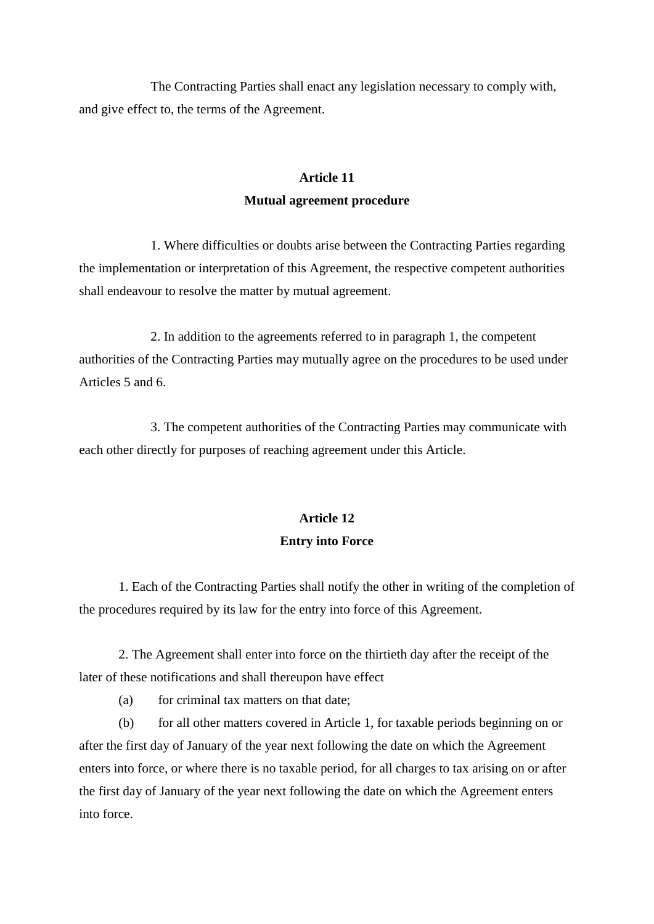The Contracting Parties shall enact any legislation necessary to comply with, and give effect to, the terms of the Agreement.

# **Article 11 Mutual agreement procedure**

1. Where difficulties or doubts arise between the Contracting Parties regarding the implementation or interpretation of this Agreement, the respective competent authorities shall endeavour to resolve the matter by mutual agreement.

2. In addition to the agreements referred to in paragraph 1, the competent authorities of the Contracting Parties may mutually agree on the procedures to be used under Articles 5 and 6.

3. The competent authorities of the Contracting Parties may communicate with each other directly for purposes of reaching agreement under this Article.

# **Article 12 Entry into Force**

1. Each of the Contracting Parties shall notify the other in writing of the completion of the procedures required by its law for the entry into force of this Agreement.

2. The Agreement shall enter into force on the thirtieth day after the receipt of the later of these notifications and shall thereupon have effect

(a) for criminal tax matters on that date;

(b) for all other matters covered in Article 1, for taxable periods beginning on or after the first day of January of the year next following the date on which the Agreement enters into force, or where there is no taxable period, for all charges to tax arising on or after the first day of January of the year next following the date on which the Agreement enters into force.